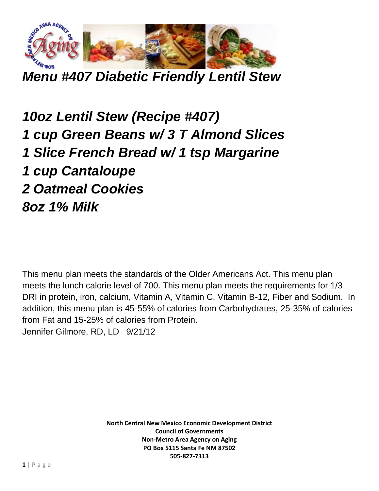

*Menu #407 Diabetic Friendly Lentil Stew*

*10oz Lentil Stew (Recipe #407) 1 cup Green Beans w/ 3 T Almond Slices 1 Slice French Bread w/ 1 tsp Margarine 1 cup Cantaloupe 2 Oatmeal Cookies 8oz 1% Milk*

This menu plan meets the standards of the Older Americans Act. This menu plan meets the lunch calorie level of 700. This menu plan meets the requirements for 1/3 DRI in protein, iron, calcium, Vitamin A, Vitamin C, Vitamin B-12, Fiber and Sodium. In addition, this menu plan is 45-55% of calories from Carbohydrates, 25-35% of calories from Fat and 15-25% of calories from Protein. Jennifer Gilmore, RD, LD 9/21/12

> **North Central New Mexico Economic Development District Council of Governments Non-Metro Area Agency on Aging PO Box 5115 Santa Fe NM 87502 505-827-7313**